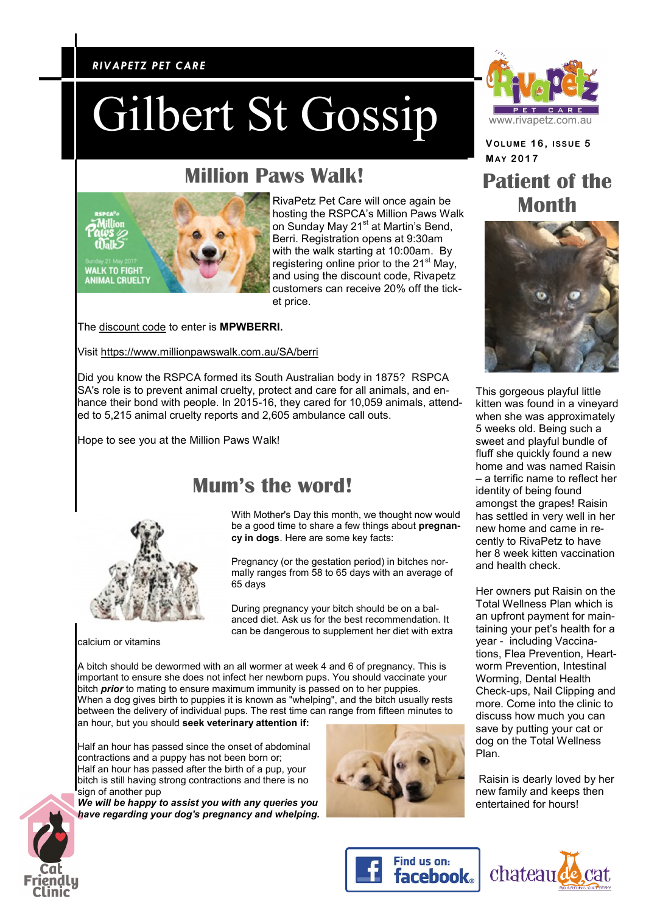#### *RIVAPETZ PET CARE RIVAPETZ PET CARE*

# Gilbert St Gossip

### **Million Paws Walk!**



RivaPetz Pet Care will once again be hosting the RSPCA's Million Paws Walk on Sunday May 21<sup>st</sup> at Martin's Bend, Berri. Registration opens at 9:30am with the walk starting at 10:00am. By registering online prior to the 21<sup>st</sup> May, and using the discount code, Rivapetz customers can receive 20% off the ticket price.

The discount code to enter is **MPWBERRI.**

Visit<https://www.millionpawswalk.com.au/SA/berri>

Did you know the RSPCA formed its South Australian body in 1875? RSPCA SA's role is to prevent animal cruelty, protect and care for all animals, and enhance their bond with people. In 2015-16, they cared for 10,059 animals, attended to 5,215 animal cruelty reports and 2,605 ambulance call outs.

Hope to see you at the Million Paws Walk!

#### **Mum's the word!**

With Mother's Day this month, we thought now would be a good time to share a few things about **pregnancy in dogs**. Here are some key facts:

Pregnancy (or the gestation period) in bitches normally ranges from 58 to 65 days with an average of 65 days

During pregnancy your bitch should be on a balanced diet. Ask us for the best recommendation. It can be dangerous to supplement her diet with extra

calcium or vitamins

A bitch should be dewormed with an all wormer at week 4 and 6 of pregnancy. This is important to ensure she does not infect her newborn pups. You should vaccinate your bitch *prior* to mating to ensure maximum immunity is passed on to her puppies. When a dog gives birth to puppies it is known as "whelping", and the bitch usually rests between the delivery of individual pups. The rest time can range from fifteen minutes to an hour, but you should **seek veterinary attention if:**

Half an hour has passed since the onset of abdominal contractions and a puppy has not been born or; Half an hour has passed after the birth of a pup, your bitch is still having strong contractions and there is no sign of another pup

*We will be happy to assist you with any queries you have regarding your dog's pregnancy and whelping.*





**VOLUME 1 6 , ISSUE 5 MAY 2017**

#### **Patient of the Month**



This gorgeous playful little kitten was found in a vineyard when she was approximately 5 weeks old. Being such a sweet and playful bundle of fluff she quickly found a new home and was named Raisin – a terrific name to reflect her identity of being found amongst the grapes! Raisin has settled in very well in her new home and came in recently to RivaPetz to have her 8 week kitten vaccination and health check.

Her owners put Raisin on the Total Wellness Plan which is an upfront payment for maintaining your pet's health for a year - including Vaccinations, Flea Prevention, Heartworm Prevention, Intestinal Worming, Dental Health Check-ups, Nail Clipping and more. Come into the clinic to discuss how much you can save by putting your cat or dog on the Total Wellness Plan.

Raisin is dearly loved by her new family and keeps then entertained for hours!